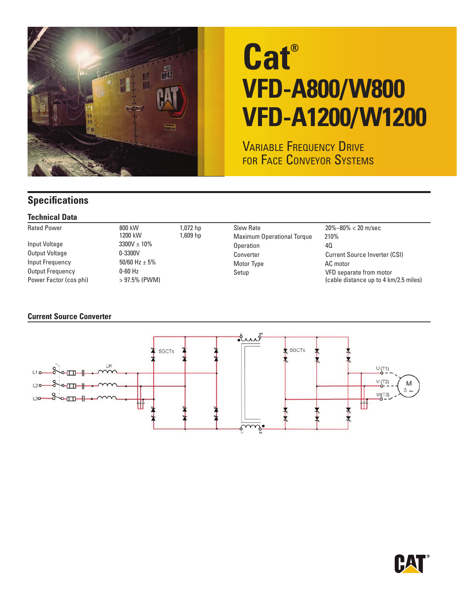

# **Cat® VFD-A800/W800 VFD-A1200/W1200**

**VARIABLE FREQUENCY DRIVE** FOR FACE CONVEYOR SYSTEMS

### **Specifications**

#### **Technical Data**

| <b>Rated Power</b>     | 800 kW            | 1,072 hp | Slew Rate                         | $20\% - 80\% < 20$ m/sec              |
|------------------------|-------------------|----------|-----------------------------------|---------------------------------------|
|                        | 1200 kW           | 1,609 hp | <b>Maximum Operational Torque</b> | 210%                                  |
| Input Voltage          | $3300V \pm 10\%$  |          | Operation                         | 40                                    |
| Output Voltage         | $0 - 3300V$       |          | Converter                         | <b>Current Source Inverter (CSI)</b>  |
| Input Frequency        | 50/60 Hz $\pm$ 5% |          | Motor Type                        | AC motor                              |
| Output Frequency       | $0-60$ Hz         |          | Setup                             | VFD separate from motor               |
| Power Factor (cos phi) | $>97.5\%$ (PWM)   |          |                                   | (cable distance up to 4 km/2.5 miles) |

#### **Current Source Converter**